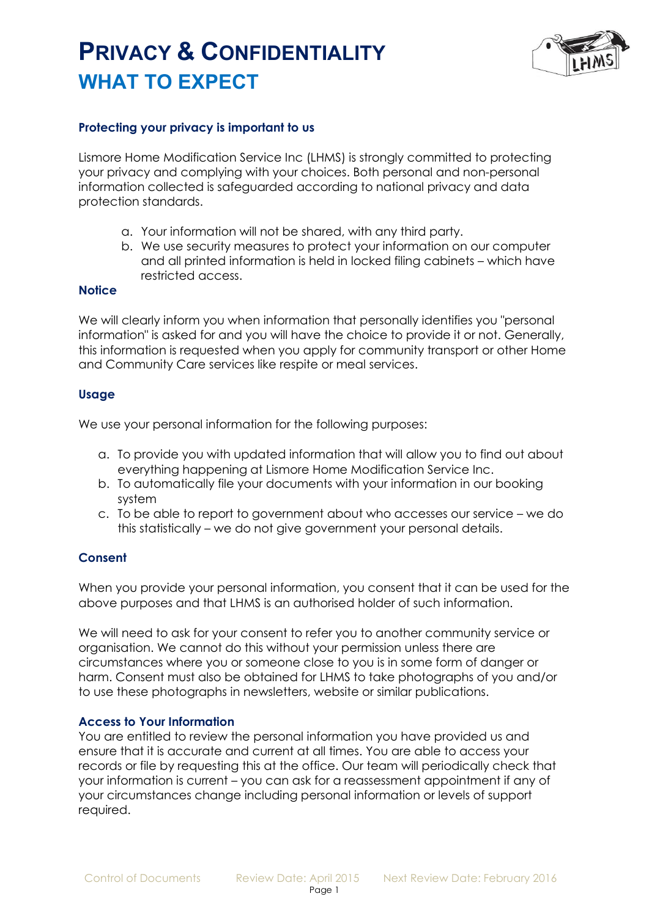# **PRIVACY & CONFIDENTIALITY WHAT TO EXPECT**



### **Protecting your privacy is important to us**

Lismore Home Modification Service Inc (LHMS) is strongly committed to protecting your privacy and complying with your choices. Both personal and non-personal information collected is safeguarded according to national privacy and data protection standards.

- a. Your information will not be shared, with any third party.
- b. We use security measures to protect your information on our computer and all printed information is held in locked filing cabinets – which have restricted access.

#### **Notice**

We will clearly inform you when information that personally identifies you "personal information" is asked for and you will have the choice to provide it or not. Generally, this information is requested when you apply for community transport or other Home and Community Care services like respite or meal services.

### **Usage**

We use your personal information for the following purposes:

- a. To provide you with updated information that will allow you to find out about everything happening at Lismore Home Modification Service Inc.
- b. To automatically file your documents with your information in our booking system
- c. To be able to report to government about who accesses our service we do this statistically – we do not give government your personal details.

### **Consent**

When you provide your personal information, you consent that it can be used for the above purposes and that LHMS is an authorised holder of such information.

We will need to ask for your consent to refer you to another community service or organisation. We cannot do this without your permission unless there are circumstances where you or someone close to you is in some form of danger or harm. Consent must also be obtained for LHMS to take photographs of you and/or to use these photographs in newsletters, website or similar publications.

### **Access to Your Information**

You are entitled to review the personal information you have provided us and ensure that it is accurate and current at all times. You are able to access your records or file by requesting this at the office. Our team will periodically check that your information is current – you can ask for a reassessment appointment if any of your circumstances change including personal information or levels of support required.